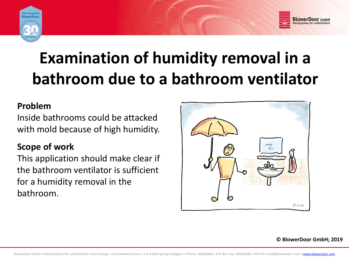



# **Examination of humidity removal in <sup>a</sup> b th a room due to <sup>a</sup> b th <sup>a</sup> room ventil t <sup>a</sup> or**

#### **Problem**

Inside bathrooms could be attacked with mold because of high humidity.

### **Scope of work**

This application should make clear if the bathroom ventilator is sufficient for a humidity removal in the bathroom.



**© BlowerDoor GmbH; 2019**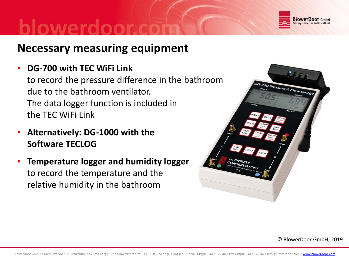

## **Necessary measuring equipment**

•**DG‐700 with TEC WiFi Link**

to record the pressure difference in the bathroom due to the bathroom ventilator. The data logger function is included in the TEC WiFi Link

- • **Alternatively: DG‐1000 with the Software TECLOG**
- • **Temperature logger and humidity logger** to record the temperature and the relative humidity in the bathroom



© BlowerDoor GmbH; 2019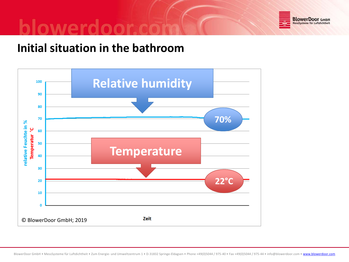

# **Initial situation in the bathroom**

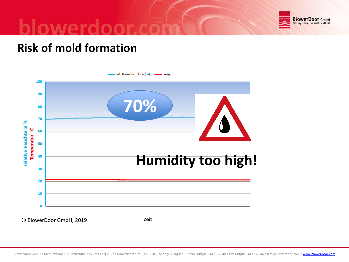

# **Risk of mold formation**

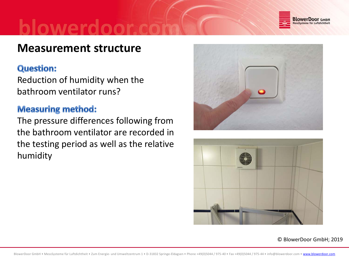

# **Measurement structure**

#### **Question:**

Reduction of humidity when the bathroom ventilator runs?

#### **Measuring method:**

The pressure differences following from the bathroom ventilator are recorded in the testing period as well as the relative humidity





© BlowerDoor GmbH; 2019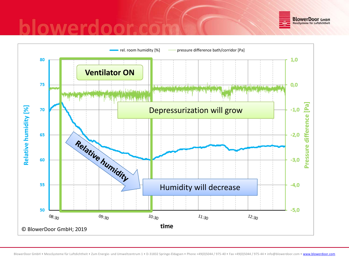

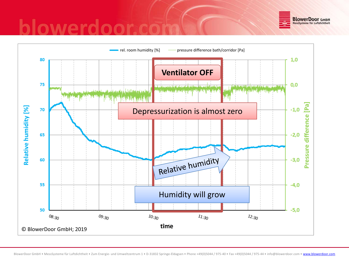